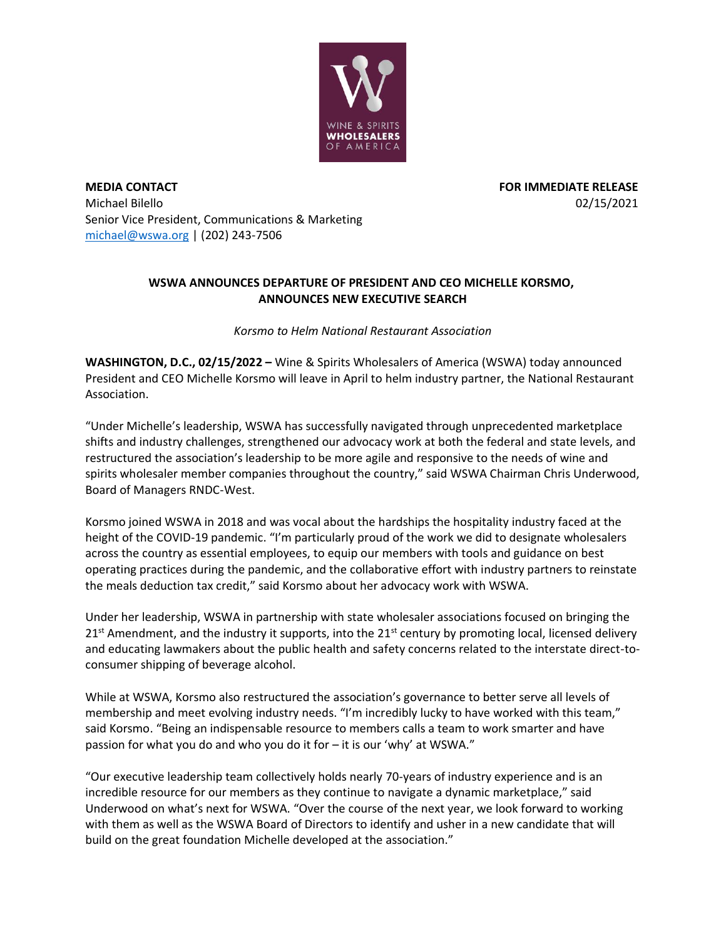

**MEDIA CONTACT FOR IMMEDIATE RELEASE** Michael Bilello 02/15/2021 Senior Vice President, Communications & Marketing [michael@wswa.org](mailto:michael@wswa.org) | (202) 243-7506

## **WSWA ANNOUNCES DEPARTURE OF PRESIDENT AND CEO MICHELLE KORSMO, ANNOUNCES NEW EXECUTIVE SEARCH**

*Korsmo to Helm National Restaurant Association*

**WASHINGTON, D.C., 02/15/2022 –** Wine & Spirits Wholesalers of America (WSWA) today announced President and CEO Michelle Korsmo will leave in April to helm industry partner, the National Restaurant Association.

"Under Michelle's leadership, WSWA has successfully navigated through unprecedented marketplace shifts and industry challenges, strengthened our advocacy work at both the federal and state levels, and restructured the association's leadership to be more agile and responsive to the needs of wine and spirits wholesaler member companies throughout the country," said WSWA Chairman Chris Underwood, Board of Managers RNDC-West.

Korsmo joined WSWA in 2018 and was vocal about the hardships the hospitality industry faced at the height of the COVID-19 pandemic. "I'm particularly proud of the work we did to designate wholesalers across the country as essential employees, to equip our members with tools and guidance on best operating practices during the pandemic, and the collaborative effort with industry partners to reinstate the meals deduction tax credit," said Korsmo about her advocacy work with WSWA.

Under her leadership, WSWA in partnership with state wholesaler associations focused on bringing the  $21<sup>st</sup>$  Amendment, and the industry it supports, into the  $21<sup>st</sup>$  century by promoting local, licensed delivery and educating lawmakers about the public health and safety concerns related to the interstate direct-toconsumer shipping of beverage alcohol.

While at WSWA, Korsmo also restructured the association's governance to better serve all levels of membership and meet evolving industry needs. "I'm incredibly lucky to have worked with this team," said Korsmo. "Being an indispensable resource to members calls a team to work smarter and have passion for what you do and who you do it for – it is our 'why' at WSWA."

"Our executive leadership team collectively holds nearly 70-years of industry experience and is an incredible resource for our members as they continue to navigate a dynamic marketplace," said Underwood on what's next for WSWA. "Over the course of the next year, we look forward to working with them as well as the WSWA Board of Directors to identify and usher in a new candidate that will build on the great foundation Michelle developed at the association."